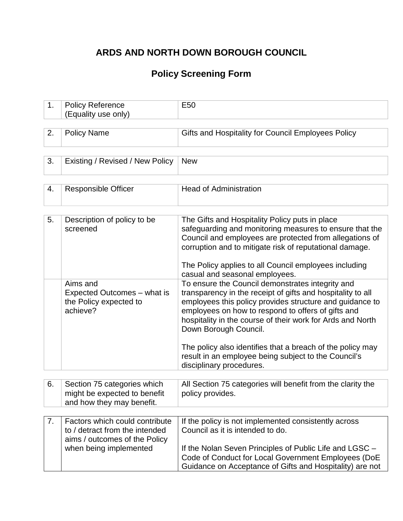## **ARDS AND NORTH DOWN BOROUGH COUNCIL**

# **Policy Screening Form**

| 1. | <b>Policy Reference</b><br>(Equality use only)                                                    | E <sub>50</sub>                                                                                                                                                                                                                                                                                                                                                                                                                                                            |
|----|---------------------------------------------------------------------------------------------------|----------------------------------------------------------------------------------------------------------------------------------------------------------------------------------------------------------------------------------------------------------------------------------------------------------------------------------------------------------------------------------------------------------------------------------------------------------------------------|
|    |                                                                                                   |                                                                                                                                                                                                                                                                                                                                                                                                                                                                            |
| 2. | <b>Policy Name</b>                                                                                | Gifts and Hospitality for Council Employees Policy                                                                                                                                                                                                                                                                                                                                                                                                                         |
|    |                                                                                                   |                                                                                                                                                                                                                                                                                                                                                                                                                                                                            |
| 3. | Existing / Revised / New Policy                                                                   | <b>New</b>                                                                                                                                                                                                                                                                                                                                                                                                                                                                 |
|    |                                                                                                   |                                                                                                                                                                                                                                                                                                                                                                                                                                                                            |
| 4. | <b>Responsible Officer</b>                                                                        | <b>Head of Administration</b>                                                                                                                                                                                                                                                                                                                                                                                                                                              |
|    |                                                                                                   |                                                                                                                                                                                                                                                                                                                                                                                                                                                                            |
| 5. | Description of policy to be<br>screened                                                           | The Gifts and Hospitality Policy puts in place<br>safeguarding and monitoring measures to ensure that the<br>Council and employees are protected from allegations of<br>corruption and to mitigate risk of reputational damage.<br>The Policy applies to all Council employees including<br>casual and seasonal employees.                                                                                                                                                 |
|    | Aims and<br>Expected Outcomes - what is<br>the Policy expected to<br>achieve?                     | To ensure the Council demonstrates integrity and<br>transparency in the receipt of gifts and hospitality to all<br>employees this policy provides structure and guidance to<br>employees on how to respond to offers of gifts and<br>hospitality in the course of their work for Ards and North<br>Down Borough Council.<br>The policy also identifies that a breach of the policy may<br>result in an employee being subject to the Council's<br>disciplinary procedures. |
|    |                                                                                                   |                                                                                                                                                                                                                                                                                                                                                                                                                                                                            |
| 6. | Section 75 categories which<br>might be expected to benefit<br>and how they may benefit.          | All Section 75 categories will benefit from the clarity the<br>policy provides.                                                                                                                                                                                                                                                                                                                                                                                            |
|    |                                                                                                   |                                                                                                                                                                                                                                                                                                                                                                                                                                                                            |
| 7. | Factors which could contribute<br>to / detract from the intended<br>aims / outcomes of the Policy | If the policy is not implemented consistently across<br>Council as it is intended to do.                                                                                                                                                                                                                                                                                                                                                                                   |
|    | when being implemented                                                                            | If the Nolan Seven Principles of Public Life and LGSC -<br>Code of Conduct for Local Government Employees (DoE<br>Guidance on Acceptance of Gifts and Hospitality) are not                                                                                                                                                                                                                                                                                                 |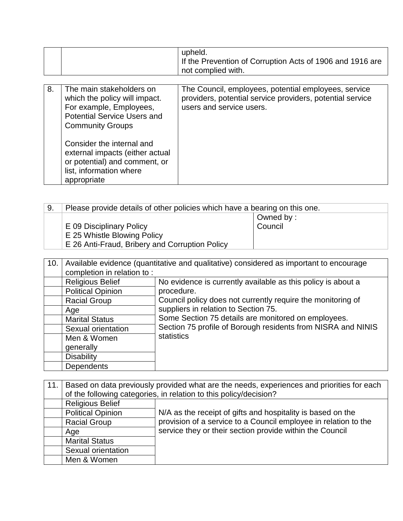|    |                                                                                                                                                                                                                                                                                                  | upheld.<br>If the Prevention of Corruption Acts of 1906 and 1916 are<br>not complied with.                                                    |
|----|--------------------------------------------------------------------------------------------------------------------------------------------------------------------------------------------------------------------------------------------------------------------------------------------------|-----------------------------------------------------------------------------------------------------------------------------------------------|
| 8. | The main stakeholders on<br>which the policy will impact.<br>For example, Employees,<br><b>Potential Service Users and</b><br><b>Community Groups</b><br>Consider the internal and<br>external impacts (either actual<br>or potential) and comment, or<br>list, information where<br>appropriate | The Council, employees, potential employees, service<br>providers, potential service providers, potential service<br>users and service users. |

| 9. | Please provide details of other policies which have a bearing on this one. |           |
|----|----------------------------------------------------------------------------|-----------|
|    |                                                                            | Owned by: |
|    | E 09 Disciplinary Policy                                                   | Council   |
|    | E 25 Whistle Blowing Policy                                                |           |
|    | E 26 Anti-Fraud, Bribery and Corruption Policy                             |           |

| 10. | Available evidence (quantitative and qualitative) considered as important to encourage |                                                              |  |
|-----|----------------------------------------------------------------------------------------|--------------------------------------------------------------|--|
|     | completion in relation to:                                                             |                                                              |  |
|     | <b>Religious Belief</b>                                                                | No evidence is currently available as this policy is about a |  |
|     | <b>Political Opinion</b>                                                               | procedure.                                                   |  |
|     | <b>Racial Group</b>                                                                    | Council policy does not currently require the monitoring of  |  |
|     | Age                                                                                    | suppliers in relation to Section 75.                         |  |
|     | <b>Marital Status</b>                                                                  | Some Section 75 details are monitored on employees.          |  |
|     | Sexual orientation                                                                     | Section 75 profile of Borough residents from NISRA and NINIS |  |
|     | Men & Women                                                                            | statistics                                                   |  |
|     | generally                                                                              |                                                              |  |
|     | <b>Disability</b>                                                                      |                                                              |  |
|     | <b>Dependents</b>                                                                      |                                                              |  |

| 11. | Based on data previously provided what are the needs, experiences and priorities for each |                                                                   |  |
|-----|-------------------------------------------------------------------------------------------|-------------------------------------------------------------------|--|
|     |                                                                                           | of the following categories, in relation to this policy/decision? |  |
|     | <b>Religious Belief</b>                                                                   |                                                                   |  |
|     | <b>Political Opinion</b>                                                                  | N/A as the receipt of gifts and hospitality is based on the       |  |
|     | <b>Racial Group</b>                                                                       | provision of a service to a Council employee in relation to the   |  |
|     | Age                                                                                       | service they or their section provide within the Council          |  |
|     | <b>Marital Status</b>                                                                     |                                                                   |  |
|     | Sexual orientation                                                                        |                                                                   |  |
|     | Men & Women                                                                               |                                                                   |  |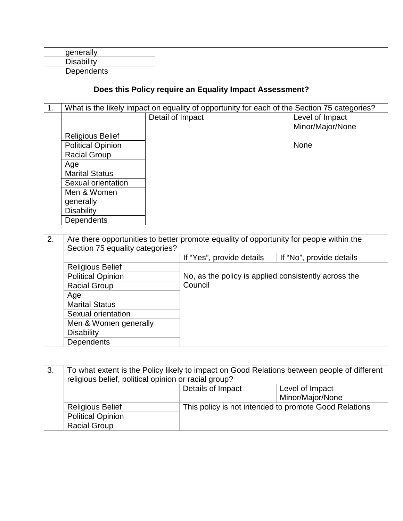| generally  |
|------------|
| Disability |
| Dependents |

## **Does this Policy require an Equality Impact Assessment?**

| 1 <sub>1</sub> | What is the likely impact on equality of opportunity for each of the Section 75 categories? |                  |                  |
|----------------|---------------------------------------------------------------------------------------------|------------------|------------------|
|                |                                                                                             | Detail of Impact | Level of Impact  |
|                |                                                                                             |                  | Minor/Major/None |
|                | <b>Religious Belief</b>                                                                     |                  |                  |
|                | <b>Political Opinion</b>                                                                    |                  | None             |
|                | <b>Racial Group</b>                                                                         |                  |                  |
|                | Age                                                                                         |                  |                  |
|                | <b>Marital Status</b>                                                                       |                  |                  |
|                | Sexual orientation                                                                          |                  |                  |
|                | Men & Women                                                                                 |                  |                  |
|                | generally                                                                                   |                  |                  |
|                | <b>Disability</b>                                                                           |                  |                  |
|                | <b>Dependents</b>                                                                           |                  |                  |

| 2. | Are there opportunities to better promote equality of opportunity for people within the<br>Section 75 equality categories? |                                                      |                          |
|----|----------------------------------------------------------------------------------------------------------------------------|------------------------------------------------------|--------------------------|
|    |                                                                                                                            | If "Yes", provide details                            | If "No", provide details |
|    | <b>Religious Belief</b>                                                                                                    |                                                      |                          |
|    | <b>Political Opinion</b>                                                                                                   | No, as the policy is applied consistently across the |                          |
|    | <b>Racial Group</b>                                                                                                        | Council                                              |                          |
|    | Age                                                                                                                        |                                                      |                          |
|    | <b>Marital Status</b>                                                                                                      |                                                      |                          |
|    | Sexual orientation                                                                                                         |                                                      |                          |
|    | Men & Women generally                                                                                                      |                                                      |                          |
|    | <b>Disability</b>                                                                                                          |                                                      |                          |
|    | <b>Dependents</b>                                                                                                          |                                                      |                          |

| 3. | To what extent is the Policy likely to impact on Good Relations between people of different<br>religious belief, political opinion or racial group? |                   |                                                       |
|----|-----------------------------------------------------------------------------------------------------------------------------------------------------|-------------------|-------------------------------------------------------|
|    |                                                                                                                                                     | Details of Impact | Level of Impact                                       |
|    |                                                                                                                                                     |                   | Minor/Major/None                                      |
|    | <b>Religious Belief</b>                                                                                                                             |                   | This policy is not intended to promote Good Relations |
|    | <b>Political Opinion</b>                                                                                                                            |                   |                                                       |
|    | <b>Racial Group</b>                                                                                                                                 |                   |                                                       |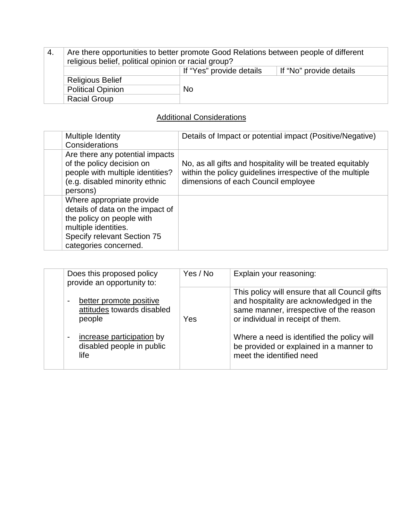4. Are there opportunities to better promote Good Relations between people of different religious belief, political opinion or racial group? If "Yes" provide details | If "No" provide details Religious Belief Political Opinion No Racial Group

### Additional Considerations

| Multiple Identity<br>Considerations                                                                                                                                        | Details of Impact or potential impact (Positive/Negative)                                                                                                      |
|----------------------------------------------------------------------------------------------------------------------------------------------------------------------------|----------------------------------------------------------------------------------------------------------------------------------------------------------------|
| Are there any potential impacts<br>of the policy decision on<br>people with multiple identities?<br>(e.g. disabled minority ethnic<br>persons)                             | No, as all gifts and hospitality will be treated equitably<br>within the policy guidelines irrespective of the multiple<br>dimensions of each Council employee |
| Where appropriate provide<br>details of data on the impact of<br>the policy on people with<br>multiple identities.<br>Specify relevant Section 75<br>categories concerned. |                                                                                                                                                                |

| Does this proposed policy<br>provide an opportunity to:                                                                           | Yes / No | Explain your reasoning:                                                                                                                                                                                                                                                                        |
|-----------------------------------------------------------------------------------------------------------------------------------|----------|------------------------------------------------------------------------------------------------------------------------------------------------------------------------------------------------------------------------------------------------------------------------------------------------|
| better promote positive<br>attitudes towards disabled<br>people<br>increase participation by<br>disabled people in public<br>life | Yes      | This policy will ensure that all Council gifts<br>and hospitality are acknowledged in the<br>same manner, irrespective of the reason<br>or individual in receipt of them.<br>Where a need is identified the policy will<br>be provided or explained in a manner to<br>meet the identified need |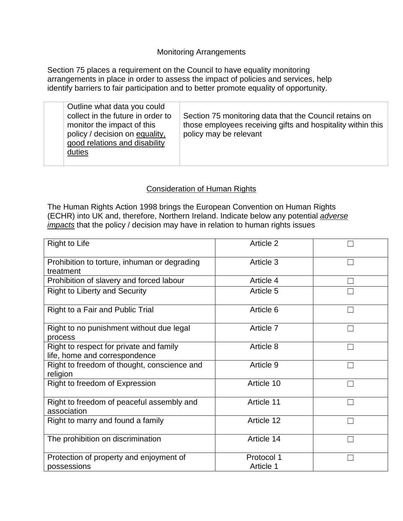#### Monitoring Arrangements

Section 75 places a requirement on the Council to have equality monitoring arrangements in place in order to assess the impact of policies and services, help identify barriers to fair participation and to better promote equality of opportunity.

| Outline what data you could<br>collect in the future in order to<br>monitor the impact of this<br>policy / decision on equality,<br>good relations and disability<br>duties | Section 75 monitoring data that the Council retains on<br>those employees receiving gifts and hospitality within this<br>policy may be relevant |
|-----------------------------------------------------------------------------------------------------------------------------------------------------------------------------|-------------------------------------------------------------------------------------------------------------------------------------------------|
|-----------------------------------------------------------------------------------------------------------------------------------------------------------------------------|-------------------------------------------------------------------------------------------------------------------------------------------------|

#### Consideration of Human Rights

The Human Rights Action 1998 brings the European Convention on Human Rights (ECHR) into UK and, therefore, Northern Ireland. Indicate below any potential *adverse impacts* that the policy / decision may have in relation to human rights issues

| <b>Right to Life</b>                                                     | Article 2               |  |
|--------------------------------------------------------------------------|-------------------------|--|
| Prohibition to torture, inhuman or degrading<br>treatment                | Article 3               |  |
| Prohibition of slavery and forced labour                                 | Article 4               |  |
| <b>Right to Liberty and Security</b>                                     | Article 5               |  |
| Right to a Fair and Public Trial                                         | Article 6               |  |
| Right to no punishment without due legal<br>process                      | Article 7               |  |
| Right to respect for private and family<br>life, home and correspondence | Article 8               |  |
| Right to freedom of thought, conscience and<br>religion                  | Article 9               |  |
| Right to freedom of Expression                                           | Article 10              |  |
| Right to freedom of peaceful assembly and<br>association                 | Article 11              |  |
| Right to marry and found a family                                        | Article 12              |  |
| The prohibition on discrimination                                        | Article 14              |  |
| Protection of property and enjoyment of<br>possessions                   | Protocol 1<br>Article 1 |  |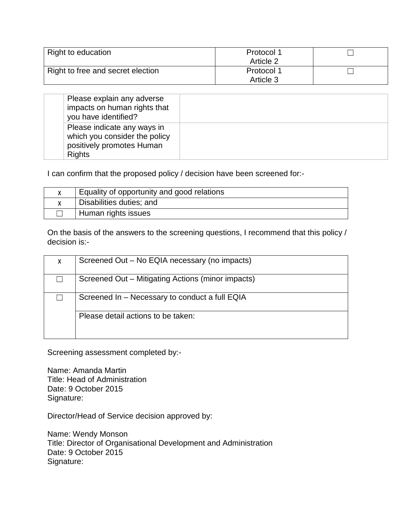| Right to education                | Protocol 1 |  |
|-----------------------------------|------------|--|
|                                   | Article 2  |  |
| Right to free and secret election | Protocol 1 |  |
|                                   | Article 3  |  |

| Please explain any adverse<br>impacts on human rights that<br>you have identified?                         |  |
|------------------------------------------------------------------------------------------------------------|--|
| Please indicate any ways in<br>which you consider the policy<br>positively promotes Human<br><b>Rights</b> |  |

I can confirm that the proposed policy / decision have been screened for:-

| Equality of opportunity and good relations |
|--------------------------------------------|
| Disabilities duties; and                   |
| Human rights issues                        |

On the basis of the answers to the screening questions, I recommend that this policy / decision is:-

| X. | Screened Out - No EQIA necessary (no impacts)     |
|----|---------------------------------------------------|
|    | Screened Out - Mitigating Actions (minor impacts) |
|    | Screened In – Necessary to conduct a full EQIA    |
|    | Please detail actions to be taken:                |

Screening assessment completed by:-

Name: Amanda Martin Title: Head of Administration Date: 9 October 2015 Signature:

Director/Head of Service decision approved by:

Name: Wendy Monson Title: Director of Organisational Development and Administration Date: 9 October 2015 Signature: